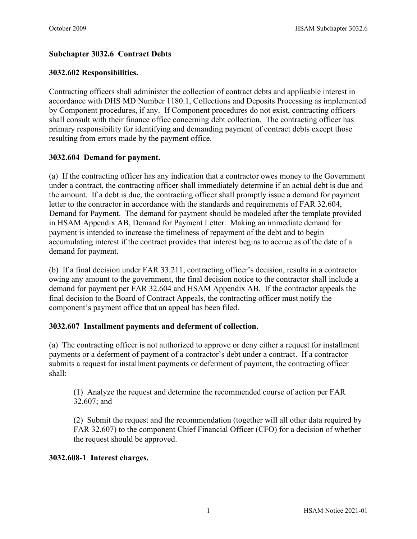# **Subchapter 3032.6 Contract Debts**

### **3032.602 Responsibilities.**

Contracting officers shall administer the collection of contract debts and applicable interest in accordance with DHS MD Number 1180.1, Collections and Deposits Processing as implemented by Component procedures, if any. If Component procedures do not exist, contracting officers shall consult with their finance office concerning debt collection. The contracting officer has primary responsibility for identifying and demanding payment of contract debts except those resulting from errors made by the payment office.

# **3032.604 Demand for payment.**

(a) If the contracting officer has any indication that a contractor owes money to the Government under a contract, the contracting officer shall immediately determine if an actual debt is due and the amount. If a debt is due, the contracting officer shall promptly issue a demand for payment letter to the contractor in accordance with the standards and requirements of FAR 32.604, Demand for Payment. The demand for payment should be modeled after the template provided in HSAM Appendix AB, Demand for Payment Letter. Making an immediate demand for payment is intended to increase the timeliness of repayment of the debt and to begin accumulating interest if the contract provides that interest begins to accrue as of the date of a demand for payment.

(b) If a final decision under FAR 33.211, contracting officer's decision, results in a contractor owing any amount to the government, the final decision notice to the contractor shall include a demand for payment per FAR 32.604 and HSAM Appendix AB. If the contractor appeals the final decision to the Board of Contract Appeals, the contracting officer must notify the component's payment office that an appeal has been filed.

# **3032.607 Installment payments and deferment of collection.**

(a) The contracting officer is not authorized to approve or deny either a request for installment payments or a deferment of payment of a contractor's debt under a contract. If a contractor submits a request for installment payments or deferment of payment, the contracting officer shall:

(1) Analyze the request and determine the recommended course of action per FAR 32.607; and

(2) Submit the request and the recommendation (together will all other data required by FAR 32.607) to the component Chief Financial Officer (CFO) for a decision of whether the request should be approved.

#### **3032.608-1 Interest charges.**